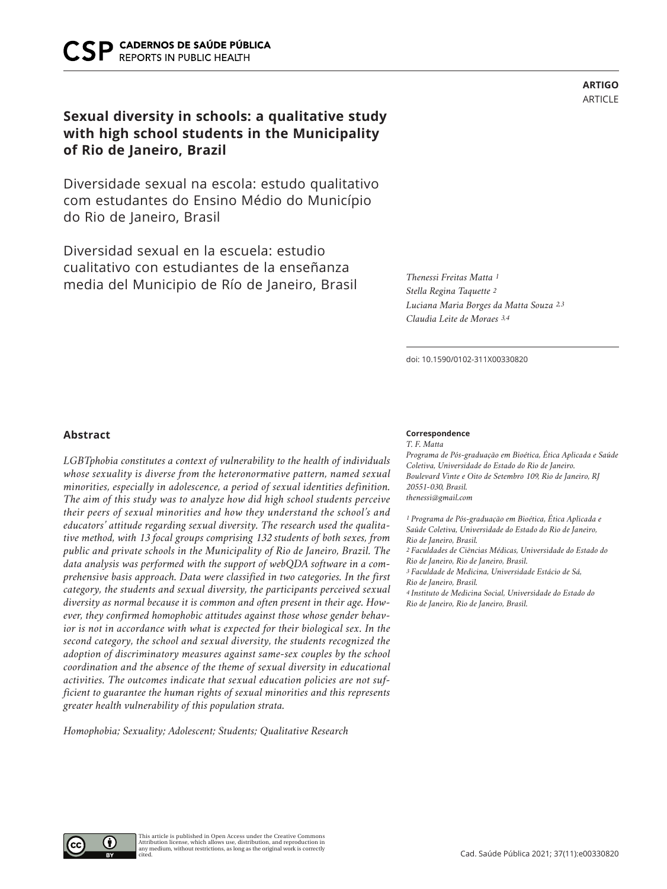# **Sexual diversity in schools: a qualitative study with high school students in the Municipality of Rio de Janeiro, Brazil**

Diversidade sexual na escola: estudo qualitativo com estudantes do Ensino Médio do Município do Rio de Janeiro, Brasil

Diversidad sexual en la escuela: estudio cualitativo con estudiantes de la enseñanza media del Municipio de Río de Janeiro, Brasil *Thenessi Freitas Matta 1*

*Stella Regina Taquette 2 Luciana Maria Borges da Matta Souza 2,3 Claudia Leite de Moraes 3,4*

doi: 10.1590/0102-311X00330820

## **Abstract**

*LGBTphobia constitutes a context of vulnerability to the health of individuals whose sexuality is diverse from the heteronormative pattern, named sexual minorities, especially in adolescence, a period of sexual identities definition. The aim of this study was to analyze how did high school students perceive their peers of sexual minorities and how they understand the school's and educators' attitude regarding sexual diversity. The research used the qualitative method, with 13 focal groups comprising 132 students of both sexes, from public and private schools in the Municipality of Rio de Janeiro, Brazil. The data analysis was performed with the support of webQDA software in a comprehensive basis approach. Data were classified in two categories. In the first category, the students and sexual diversity, the participants perceived sexual diversity as normal because it is common and often present in their age. However, they confirmed homophobic attitudes against those whose gender behavior is not in accordance with what is expected for their biological sex. In the second category, the school and sexual diversity, the students recognized the adoption of discriminatory measures against same-sex couples by the school coordination and the absence of the theme of sexual diversity in educational activities. The outcomes indicate that sexual education policies are not sufficient to guarantee the human rights of sexual minorities and this represents greater health vulnerability of this population strata.* 

*Homophobia; Sexuality; Adolescent; Students; Qualitative Research*

#### **Correspondence**

*T. F. Matta Programa de Pós-graduação em Bioética, Ética Aplicada e Saúde Coletiva, Universidade do Estado do Rio de Janeiro. Boulevard Vinte e Oito de Setembro 109, Rio de Janeiro, RJ 20551-030, Brasil. thenessi@gmail.com*

*1 Programa de Pós-graduação em Bioética, Ética Aplicada e Saúde Coletiva, Universidade do Estado do Rio de Janeiro, Rio de Janeiro, Brasil. 2 Faculdades de Ciências Médicas, Universidade do Estado do Rio de Janeiro, Rio de Janeiro, Brasil. 3 Faculdade de Medicina, Universidade Estácio de Sá, Rio de Janeiro, Brasil. 4 Instituto de Medicina Social, Universidade do Estado do Rio de Janeiro, Rio de Janeiro, Brasil.*

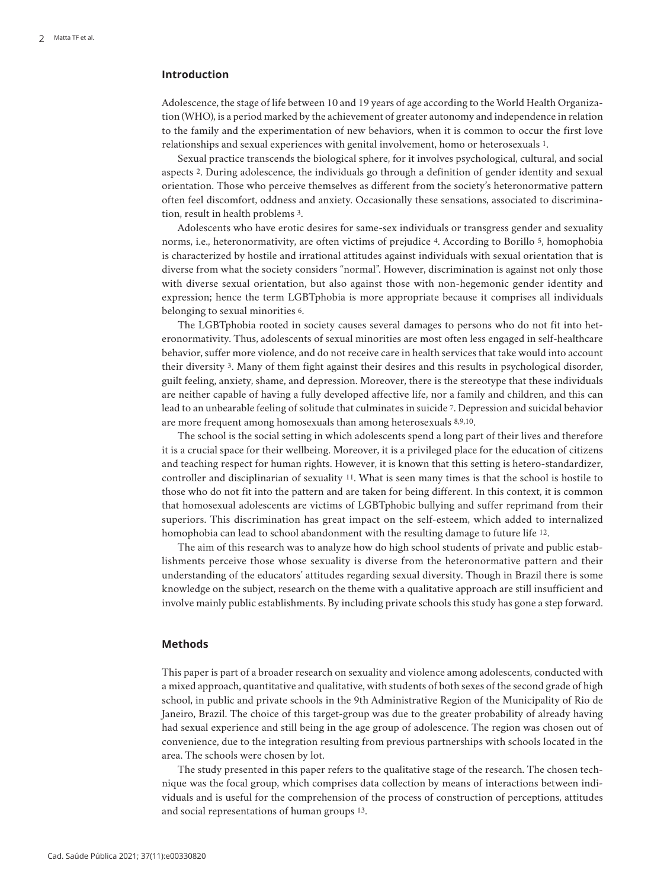# **Introduction**

Adolescence, the stage of life between 10 and 19 years of age according to the World Health Organization (WHO), is a period marked by the achievement of greater autonomy and independence in relation to the family and the experimentation of new behaviors, when it is common to occur the first love relationships and sexual experiences with genital involvement, homo or heterosexuals 1.

Sexual practice transcends the biological sphere, for it involves psychological, cultural, and social aspects 2. During adolescence, the individuals go through a definition of gender identity and sexual orientation. Those who perceive themselves as different from the society's heteronormative pattern often feel discomfort, oddness and anxiety. Occasionally these sensations, associated to discrimination, result in health problems 3.

Adolescents who have erotic desires for same-sex individuals or transgress gender and sexuality norms, i.e., heteronormativity, are often victims of prejudice 4. According to Borillo 5, homophobia is characterized by hostile and irrational attitudes against individuals with sexual orientation that is diverse from what the society considers "normal". However, discrimination is against not only those with diverse sexual orientation, but also against those with non-hegemonic gender identity and expression; hence the term LGBTphobia is more appropriate because it comprises all individuals belonging to sexual minorities 6.

The LGBTphobia rooted in society causes several damages to persons who do not fit into heteronormativity. Thus, adolescents of sexual minorities are most often less engaged in self-healthcare behavior, suffer more violence, and do not receive care in health services that take would into account their diversity 3. Many of them fight against their desires and this results in psychological disorder, guilt feeling, anxiety, shame, and depression. Moreover, there is the stereotype that these individuals are neither capable of having a fully developed affective life, nor a family and children, and this can lead to an unbearable feeling of solitude that culminates in suicide 7. Depression and suicidal behavior are more frequent among homosexuals than among heterosexuals 8,9,10.

The school is the social setting in which adolescents spend a long part of their lives and therefore it is a crucial space for their wellbeing. Moreover, it is a privileged place for the education of citizens and teaching respect for human rights. However, it is known that this setting is hetero-standardizer, controller and disciplinarian of sexuality 11. What is seen many times is that the school is hostile to those who do not fit into the pattern and are taken for being different. In this context, it is common that homosexual adolescents are victims of LGBTphobic bullying and suffer reprimand from their superiors. This discrimination has great impact on the self-esteem, which added to internalized homophobia can lead to school abandonment with the resulting damage to future life 12.

The aim of this research was to analyze how do high school students of private and public establishments perceive those whose sexuality is diverse from the heteronormative pattern and their understanding of the educators' attitudes regarding sexual diversity. Though in Brazil there is some knowledge on the subject, research on the theme with a qualitative approach are still insufficient and involve mainly public establishments. By including private schools this study has gone a step forward.

# **Methods**

This paper is part of a broader research on sexuality and violence among adolescents, conducted with a mixed approach, quantitative and qualitative, with students of both sexes of the second grade of high school, in public and private schools in the 9th Administrative Region of the Municipality of Rio de Janeiro, Brazil. The choice of this target-group was due to the greater probability of already having had sexual experience and still being in the age group of adolescence. The region was chosen out of convenience, due to the integration resulting from previous partnerships with schools located in the area. The schools were chosen by lot.

The study presented in this paper refers to the qualitative stage of the research. The chosen technique was the focal group, which comprises data collection by means of interactions between individuals and is useful for the comprehension of the process of construction of perceptions, attitudes and social representations of human groups 13.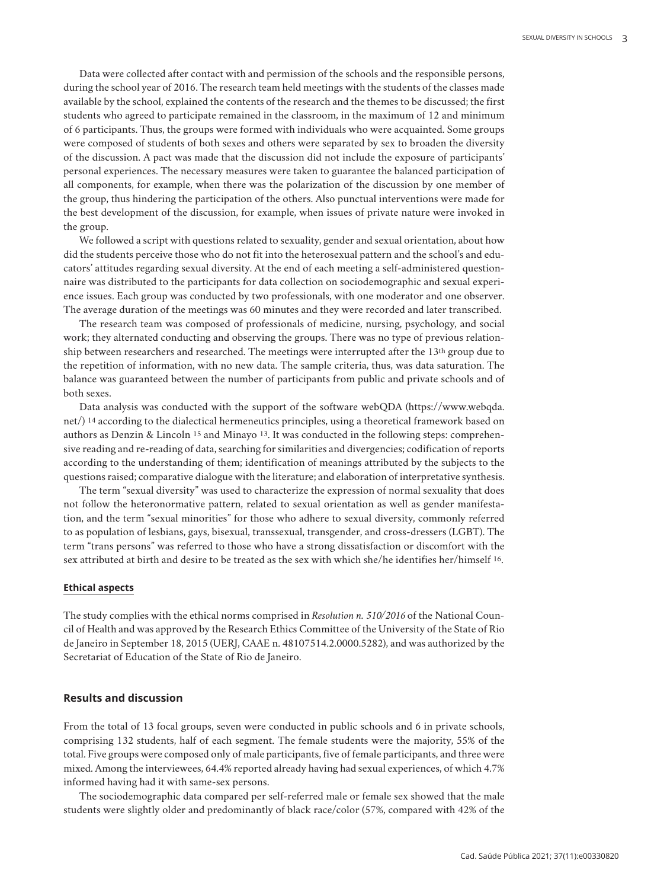Data were collected after contact with and permission of the schools and the responsible persons, during the school year of 2016. The research team held meetings with the students of the classes made available by the school, explained the contents of the research and the themes to be discussed; the first students who agreed to participate remained in the classroom, in the maximum of 12 and minimum of 6 participants. Thus, the groups were formed with individuals who were acquainted. Some groups were composed of students of both sexes and others were separated by sex to broaden the diversity of the discussion. A pact was made that the discussion did not include the exposure of participants' personal experiences. The necessary measures were taken to guarantee the balanced participation of all components, for example, when there was the polarization of the discussion by one member of the group, thus hindering the participation of the others. Also punctual interventions were made for the best development of the discussion, for example, when issues of private nature were invoked in the group.

We followed a script with questions related to sexuality, gender and sexual orientation, about how did the students perceive those who do not fit into the heterosexual pattern and the school's and educators' attitudes regarding sexual diversity. At the end of each meeting a self-administered questionnaire was distributed to the participants for data collection on sociodemographic and sexual experience issues. Each group was conducted by two professionals, with one moderator and one observer. The average duration of the meetings was 60 minutes and they were recorded and later transcribed.

The research team was composed of professionals of medicine, nursing, psychology, and social work; they alternated conducting and observing the groups. There was no type of previous relationship between researchers and researched. The meetings were interrupted after the 13th group due to the repetition of information, with no new data. The sample criteria, thus, was data saturation. The balance was guaranteed between the number of participants from public and private schools and of both sexes.

Data analysis was conducted with the support of the software webQDA (https://www.webqda. net/) 14 according to the dialectical hermeneutics principles, using a theoretical framework based on authors as Denzin & Lincoln 15 and Minayo 13. It was conducted in the following steps: comprehensive reading and re-reading of data, searching for similarities and divergencies; codification of reports according to the understanding of them; identification of meanings attributed by the subjects to the questions raised; comparative dialogue with the literature; and elaboration of interpretative synthesis.

The term "sexual diversity" was used to characterize the expression of normal sexuality that does not follow the heteronormative pattern, related to sexual orientation as well as gender manifestation, and the term "sexual minorities" for those who adhere to sexual diversity, commonly referred to as population of lesbians, gays, bisexual, transsexual, transgender, and cross-dressers (LGBT). The term "trans persons" was referred to those who have a strong dissatisfaction or discomfort with the sex attributed at birth and desire to be treated as the sex with which she/he identifies her/himself 16.

## **Ethical aspects**

The study complies with the ethical norms comprised in *Resolution n. 510/2016* of the National Council of Health and was approved by the Research Ethics Committee of the University of the State of Rio de Janeiro in September 18, 2015 (UERJ, CAAE n. 48107514.2.0000.5282), and was authorized by the Secretariat of Education of the State of Rio de Janeiro.

### **Results and discussion**

From the total of 13 focal groups, seven were conducted in public schools and 6 in private schools, comprising 132 students, half of each segment. The female students were the majority, 55% of the total. Five groups were composed only of male participants, five of female participants, and three were mixed. Among the interviewees, 64.4% reported already having had sexual experiences, of which 4.7% informed having had it with same-sex persons.

The sociodemographic data compared per self-referred male or female sex showed that the male students were slightly older and predominantly of black race/color (57%, compared with 42% of the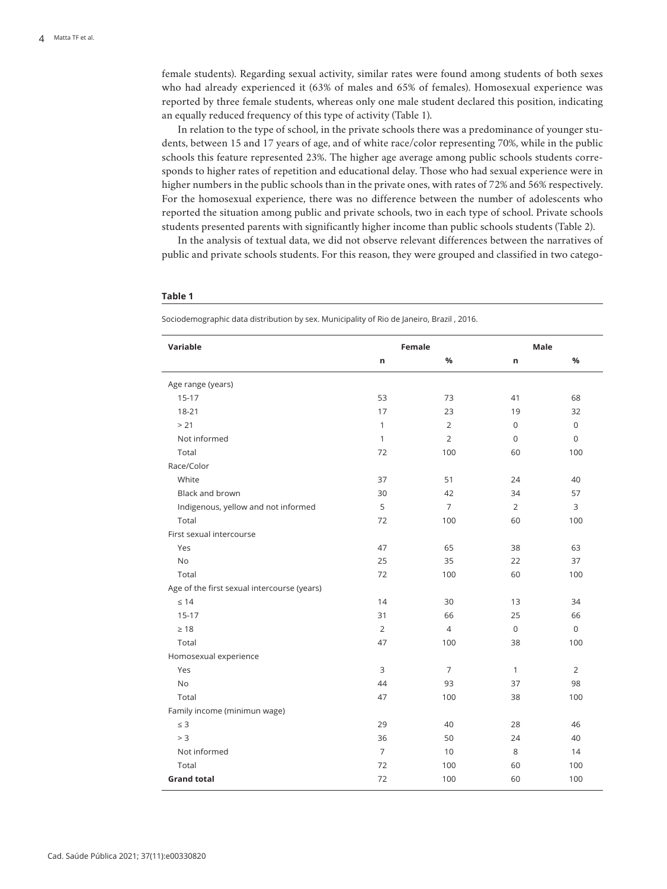female students). Regarding sexual activity, similar rates were found among students of both sexes who had already experienced it (63% of males and 65% of females). Homosexual experience was reported by three female students, whereas only one male student declared this position, indicating an equally reduced frequency of this type of activity (Table 1).

In relation to the type of school, in the private schools there was a predominance of younger students, between 15 and 17 years of age, and of white race/color representing 70%, while in the public schools this feature represented 23%. The higher age average among public schools students corresponds to higher rates of repetition and educational delay. Those who had sexual experience were in higher numbers in the public schools than in the private ones, with rates of 72% and 56% respectively. For the homosexual experience, there was no difference between the number of adolescents who reported the situation among public and private schools, two in each type of school. Private schools students presented parents with significantly higher income than public schools students (Table 2).

In the analysis of textual data, we did not observe relevant differences between the narratives of public and private schools students. For this reason, they were grouped and classified in two catego-

#### **Table 1**

Sociodemographic data distribution by sex. Municipality of Rio de Janeiro, Brazil , 2016.

| Variable                                    | <b>Female</b>  |                | Male           |             |
|---------------------------------------------|----------------|----------------|----------------|-------------|
|                                             | n              | $\frac{9}{6}$  | n              | %           |
| Age range (years)                           |                |                |                |             |
| $15-17$                                     | 53             | 73             | 41             | 68          |
| $18 - 21$                                   | 17             | 23             | 19             | 32          |
| > 21                                        | $\mathbf{1}$   | $\overline{2}$ | 0              | 0           |
| Not informed                                | $\mathbf{1}$   | $\overline{2}$ | 0              | 0           |
| Total                                       | 72             | 100            | 60             | 100         |
| Race/Color                                  |                |                |                |             |
| White                                       | 37             | 51             | 24             | 40          |
| Black and brown                             | 30             | 42             | 34             | 57          |
| Indigenous, yellow and not informed         | 5              | $\overline{7}$ | $\overline{2}$ | 3           |
| Total                                       | 72             | 100            | 60             | 100         |
| First sexual intercourse                    |                |                |                |             |
| Yes                                         | 47             | 65             | 38             | 63          |
| <b>No</b>                                   | 25             | 35             | 22             | 37          |
| Total                                       | 72             | 100            | 60             | 100         |
| Age of the first sexual intercourse (years) |                |                |                |             |
| $\leq 14$                                   | 14             | 30             | 13             | 34          |
| $15-17$                                     | 31             | 66             | 25             | 66          |
| $\geq 18$                                   | $\overline{2}$ | $\overline{4}$ | $\mathbf 0$    | $\mathbf 0$ |
| Total                                       | 47             | 100            | 38             | 100         |
| Homosexual experience                       |                |                |                |             |
| Yes                                         | 3              | $\overline{7}$ | $\mathbf{1}$   | 2           |
| <b>No</b>                                   | 44             | 93             | 37             | 98          |
| Total                                       | 47             | 100            | 38             | 100         |
| Family income (minimun wage)                |                |                |                |             |
| $\leq$ 3                                    | 29             | 40             | 28             | 46          |
| > 3                                         | 36             | 50             | 24             | 40          |
| Not informed                                | $\overline{7}$ | 10             | 8              | 14          |
| Total                                       | 72             | 100            | 60             | 100         |
| <b>Grand total</b>                          | 72             | 100            | 60             | 100         |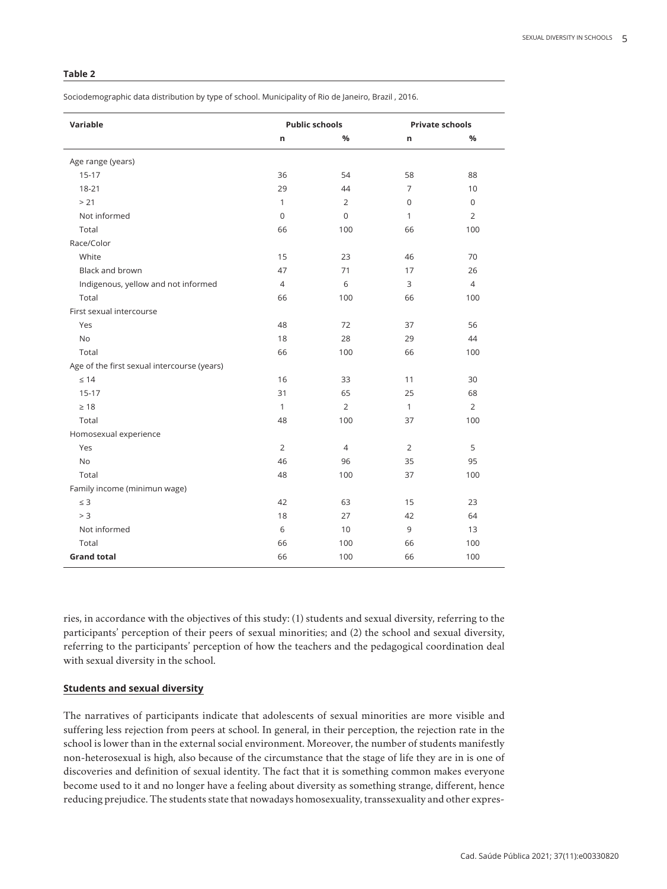## **Table 2**

Sociodemographic data distribution by type of school. Municipality of Rio de Janeiro, Brazil , 2016.

| Variable                                    | <b>Public schools</b> |                | <b>Private schools</b> |                |
|---------------------------------------------|-----------------------|----------------|------------------------|----------------|
|                                             | n                     | %              | n                      | %              |
| Age range (years)                           |                       |                |                        |                |
| $15 - 17$                                   | 36                    | 54             | 58                     | 88             |
| 18-21                                       | 29                    | 44             | $\overline{7}$         | 10             |
| > 21                                        | $\mathbf{1}$          | 2              | 0                      | $\Omega$       |
| Not informed                                | $\mathbf 0$           | $\Omega$       | $\mathbf{1}$           | $\overline{2}$ |
| Total                                       | 66                    | 100            | 66                     | 100            |
| Race/Color                                  |                       |                |                        |                |
| White                                       | 15                    | 23             | 46                     | 70             |
| Black and brown                             | 47                    | 71             | 17                     | 26             |
| Indigenous, yellow and not informed         | 4                     | 6              | 3                      | $\overline{4}$ |
| Total                                       | 66                    | 100            | 66                     | 100            |
| First sexual intercourse                    |                       |                |                        |                |
| Yes                                         | 48                    | 72             | 37                     | 56             |
| <b>No</b>                                   | 18                    | 28             | 29                     | 44             |
| Total                                       | 66                    | 100            | 66                     | 100            |
| Age of the first sexual intercourse (years) |                       |                |                        |                |
| $\leq 14$                                   | 16                    | 33             | 11                     | 30             |
| $15-17$                                     | 31                    | 65             | 25                     | 68             |
| $\geq 18$                                   | $\mathbf{1}$          | $\overline{2}$ | $\mathbf{1}$           | $\overline{2}$ |
| Total                                       | 48                    | 100            | 37                     | 100            |
| Homosexual experience                       |                       |                |                        |                |
| Yes                                         | 2                     | $\overline{4}$ | 2                      | 5              |
| <b>No</b>                                   | 46                    | 96             | 35                     | 95             |
| Total                                       | 48                    | 100            | 37                     | 100            |
| Family income (minimun wage)                |                       |                |                        |                |
| $\leq 3$                                    | 42                    | 63             | 15                     | 23             |
| > 3                                         | 18                    | 27             | 42                     | 64             |
| Not informed                                | 6                     | 10             | 9                      | 13             |
| Total                                       | 66                    | 100            | 66                     | 100            |
| <b>Grand total</b>                          | 66                    | 100            | 66                     | 100            |

ries, in accordance with the objectives of this study: (1) students and sexual diversity, referring to the participants' perception of their peers of sexual minorities; and (2) the school and sexual diversity, referring to the participants' perception of how the teachers and the pedagogical coordination deal with sexual diversity in the school.

## **Students and sexual diversity**

The narratives of participants indicate that adolescents of sexual minorities are more visible and suffering less rejection from peers at school. In general, in their perception, the rejection rate in the school is lower than in the external social environment. Moreover, the number of students manifestly non-heterosexual is high, also because of the circumstance that the stage of life they are in is one of discoveries and definition of sexual identity. The fact that it is something common makes everyone become used to it and no longer have a feeling about diversity as something strange, different, hence reducing prejudice. The students state that nowadays homosexuality, transsexuality and other expres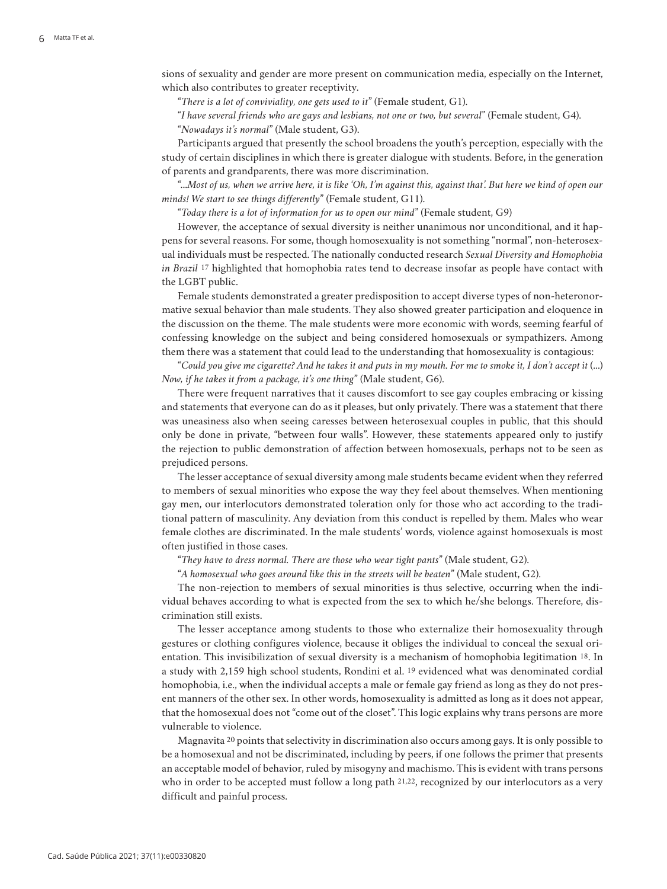sions of sexuality and gender are more present on communication media, especially on the Internet, which also contributes to greater receptivity.

"*There is a lot of conviviality, one gets used to it*" (Female student, G1).

"*I have several friends who are gays and lesbians, not one or two, but several*" (Female student, G4).

"*Nowadays it's normal*" (Male student, G3).

Participants argued that presently the school broadens the youth's perception, especially with the study of certain disciplines in which there is greater dialogue with students. Before, in the generation of parents and grandparents, there was more discrimination.

"...*Most of us, when we arrive here, it is like 'Oh, I'm against this, against that'. But here we kind of open our minds! We start to see things differently*" (Female student, G11).

"*Today there is a lot of information for us to open our mind*" (Female student, G9)

However, the acceptance of sexual diversity is neither unanimous nor unconditional, and it happens for several reasons. For some, though homosexuality is not something "normal", non-heterosexual individuals must be respected. The nationally conducted research *Sexual Diversity and Homophobia in Brazil* 17 highlighted that homophobia rates tend to decrease insofar as people have contact with the LGBT public.

Female students demonstrated a greater predisposition to accept diverse types of non-heteronormative sexual behavior than male students. They also showed greater participation and eloquence in the discussion on the theme. The male students were more economic with words, seeming fearful of confessing knowledge on the subject and being considered homosexuals or sympathizers. Among them there was a statement that could lead to the understanding that homosexuality is contagious:

"*Could you give me cigarette? And he takes it and puts in my mouth. For me to smoke it, I don't accept it* (...) *Now, if he takes it from a package, it's one thing*" (Male student, G6).

There were frequent narratives that it causes discomfort to see gay couples embracing or kissing and statements that everyone can do as it pleases, but only privately. There was a statement that there was uneasiness also when seeing caresses between heterosexual couples in public, that this should only be done in private, "between four walls". However, these statements appeared only to justify the rejection to public demonstration of affection between homosexuals, perhaps not to be seen as prejudiced persons.

The lesser acceptance of sexual diversity among male students became evident when they referred to members of sexual minorities who expose the way they feel about themselves. When mentioning gay men, our interlocutors demonstrated toleration only for those who act according to the traditional pattern of masculinity. Any deviation from this conduct is repelled by them. Males who wear female clothes are discriminated. In the male students' words, violence against homosexuals is most often justified in those cases.

"*They have to dress normal. There are those who wear tight pants*" (Male student, G2).

"*A homosexual who goes around like this in the streets will be beaten*" (Male student, G2).

The non-rejection to members of sexual minorities is thus selective, occurring when the individual behaves according to what is expected from the sex to which he/she belongs. Therefore, discrimination still exists.

The lesser acceptance among students to those who externalize their homosexuality through gestures or clothing configures violence, because it obliges the individual to conceal the sexual orientation. This invisibilization of sexual diversity is a mechanism of homophobia legitimation 18. In a study with 2,159 high school students, Rondini et al. 19 evidenced what was denominated cordial homophobia, i.e., when the individual accepts a male or female gay friend as long as they do not present manners of the other sex. In other words, homosexuality is admitted as long as it does not appear, that the homosexual does not "come out of the closet". This logic explains why trans persons are more vulnerable to violence.

Magnavita 20 points that selectivity in discrimination also occurs among gays. It is only possible to be a homosexual and not be discriminated, including by peers, if one follows the primer that presents an acceptable model of behavior, ruled by misogyny and machismo. This is evident with trans persons who in order to be accepted must follow a long path 21,22, recognized by our interlocutors as a very difficult and painful process.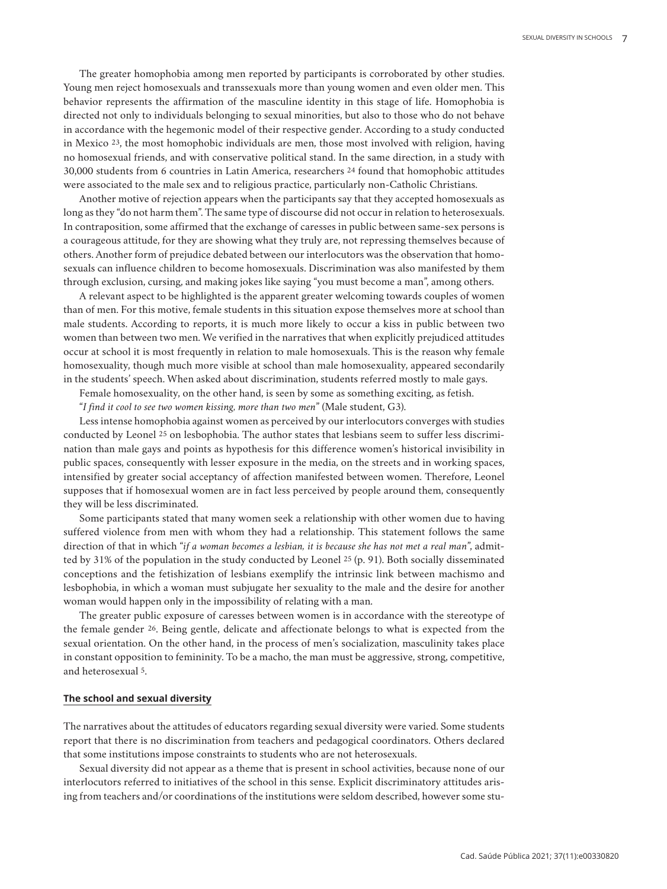The greater homophobia among men reported by participants is corroborated by other studies. Young men reject homosexuals and transsexuals more than young women and even older men. This behavior represents the affirmation of the masculine identity in this stage of life. Homophobia is directed not only to individuals belonging to sexual minorities, but also to those who do not behave in accordance with the hegemonic model of their respective gender. According to a study conducted in Mexico 23, the most homophobic individuals are men, those most involved with religion, having no homosexual friends, and with conservative political stand. In the same direction, in a study with 30,000 students from 6 countries in Latin America, researchers 24 found that homophobic attitudes were associated to the male sex and to religious practice, particularly non-Catholic Christians.

Another motive of rejection appears when the participants say that they accepted homosexuals as long as they "do not harm them". The same type of discourse did not occur in relation to heterosexuals. In contraposition, some affirmed that the exchange of caresses in public between same-sex persons is a courageous attitude, for they are showing what they truly are, not repressing themselves because of others. Another form of prejudice debated between our interlocutors was the observation that homosexuals can influence children to become homosexuals. Discrimination was also manifested by them through exclusion, cursing, and making jokes like saying "you must become a man", among others.

A relevant aspect to be highlighted is the apparent greater welcoming towards couples of women than of men. For this motive, female students in this situation expose themselves more at school than male students. According to reports, it is much more likely to occur a kiss in public between two women than between two men. We verified in the narratives that when explicitly prejudiced attitudes occur at school it is most frequently in relation to male homosexuals. This is the reason why female homosexuality, though much more visible at school than male homosexuality, appeared secondarily in the students' speech. When asked about discrimination, students referred mostly to male gays.

Female homosexuality, on the other hand, is seen by some as something exciting, as fetish.

"*I find it cool to see two women kissing, more than two men*" (Male student, G3).

Less intense homophobia against women as perceived by our interlocutors converges with studies conducted by Leonel 25 on lesbophobia. The author states that lesbians seem to suffer less discrimination than male gays and points as hypothesis for this difference women's historical invisibility in public spaces, consequently with lesser exposure in the media, on the streets and in working spaces, intensified by greater social acceptancy of affection manifested between women. Therefore, Leonel supposes that if homosexual women are in fact less perceived by people around them, consequently they will be less discriminated.

Some participants stated that many women seek a relationship with other women due to having suffered violence from men with whom they had a relationship. This statement follows the same direction of that in which "*if a woman becomes a lesbian, it is because she has not met a real man*", admitted by 31% of the population in the study conducted by Leonel 25 (p. 91). Both socially disseminated conceptions and the fetishization of lesbians exemplify the intrinsic link between machismo and lesbophobia, in which a woman must subjugate her sexuality to the male and the desire for another woman would happen only in the impossibility of relating with a man.

The greater public exposure of caresses between women is in accordance with the stereotype of the female gender 26. Being gentle, delicate and affectionate belongs to what is expected from the sexual orientation. On the other hand, in the process of men's socialization, masculinity takes place in constant opposition to femininity. To be a macho, the man must be aggressive, strong, competitive, and heterosexual 5.

## **The school and sexual diversity**

The narratives about the attitudes of educators regarding sexual diversity were varied. Some students report that there is no discrimination from teachers and pedagogical coordinators. Others declared that some institutions impose constraints to students who are not heterosexuals.

Sexual diversity did not appear as a theme that is present in school activities, because none of our interlocutors referred to initiatives of the school in this sense. Explicit discriminatory attitudes arising from teachers and/or coordinations of the institutions were seldom described, however some stu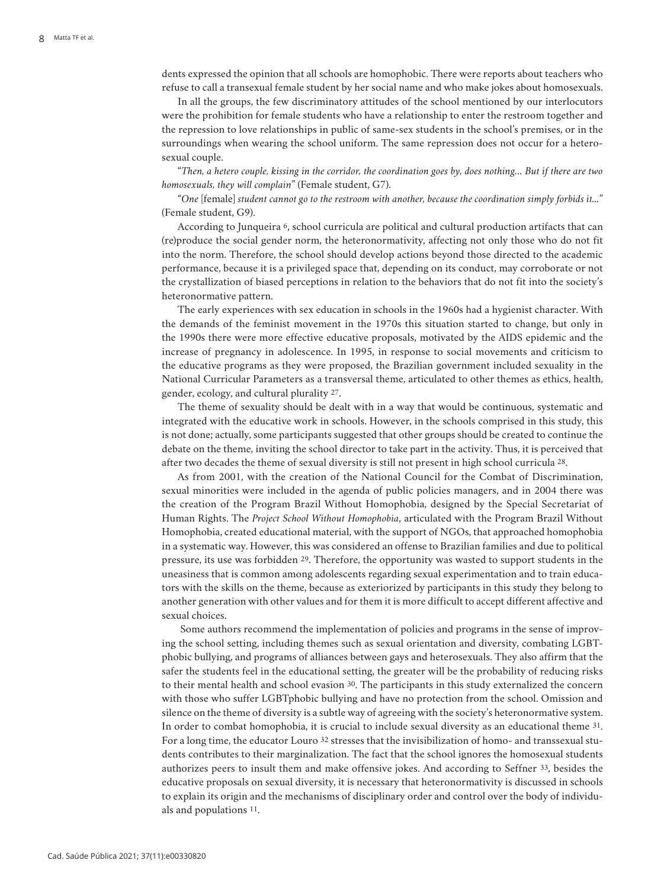dents expressed the opinion that all schools are homophobic. There were reports about teachers who refuse to call a transexual female student by her social name and who make jokes about homosexuals.

In all the groups, the few discriminatory attitudes of the school mentioned by our interlocutors were the prohibition for female students who have a relationship to enter the restroom together and the repression to love relationships in public of same-sex students in the school's premises, or in the surroundings when wearing the school uniform. The same repression does not occur for a heterosexual couple.

"*Then, a hetero couple, kissing in the corridor, the coordination goes by, does nothing… But if there are two homosexuals, they will complain*" (Female student, G7).

"*One* [female] *student cannot go to the restroom with another, because the coordination simply forbids it...*" (Female student, G9).

According to Junqueira 6, school curricula are political and cultural production artifacts that can (re)produce the social gender norm, the heteronormativity, affecting not only those who do not fit into the norm. Therefore, the school should develop actions beyond those directed to the academic performance, because it is a privileged space that, depending on its conduct, may corroborate or not the crystallization of biased perceptions in relation to the behaviors that do not fit into the society's heteronormative pattern.

The early experiences with sex education in schools in the 1960s had a hygienist character. With the demands of the feminist movement in the 1970s this situation started to change, but only in the 1990s there were more effective educative proposals, motivated by the AIDS epidemic and the increase of pregnancy in adolescence. In 1995, in response to social movements and criticism to the educative programs as they were proposed, the Brazilian government included sexuality in the National Curricular Parameters as a transversal theme, articulated to other themes as ethics, health, gender, ecology, and cultural plurality 27.

The theme of sexuality should be dealt with in a way that would be continuous, systematic and integrated with the educative work in schools. However, in the schools comprised in this study, this is not done; actually, some participants suggested that other groups should be created to continue the debate on the theme, inviting the school director to take part in the activity. Thus, it is perceived that after two decades the theme of sexual diversity is still not present in high school curricula 28.

As from 2001, with the creation of the National Council for the Combat of Discrimination, sexual minorities were included in the agenda of public policies managers, and in 2004 there was the creation of the Program Brazil Without Homophobia, designed by the Special Secretariat of Human Rights. The *Project School Without Homophobia*, articulated with the Program Brazil Without Homophobia, created educational material, with the support of NGOs, that approached homophobia in a systematic way. However, this was considered an offense to Brazilian families and due to political pressure, its use was forbidden 29. Therefore, the opportunity was wasted to support students in the uneasiness that is common among adolescents regarding sexual experimentation and to train educators with the skills on the theme, because as exteriorized by participants in this study they belong to another generation with other values and for them it is more difficult to accept different affective and sexual choices.

 Some authors recommend the implementation of policies and programs in the sense of improving the school setting, including themes such as sexual orientation and diversity, combating LGBTphobic bullying, and programs of alliances between gays and heterosexuals. They also affirm that the safer the students feel in the educational setting, the greater will be the probability of reducing risks to their mental health and school evasion 30. The participants in this study externalized the concern with those who suffer LGBTphobic bullying and have no protection from the school. Omission and silence on the theme of diversity is a subtle way of agreeing with the society's heteronormative system. In order to combat homophobia, it is crucial to include sexual diversity as an educational theme 31. For a long time, the educator Louro 32 stresses that the invisibilization of homo- and transsexual students contributes to their marginalization. The fact that the school ignores the homosexual students authorizes peers to insult them and make offensive jokes. And according to Seffner 33, besides the educative proposals on sexual diversity, it is necessary that heteronormativity is discussed in schools to explain its origin and the mechanisms of disciplinary order and control over the body of individuals and populations 11.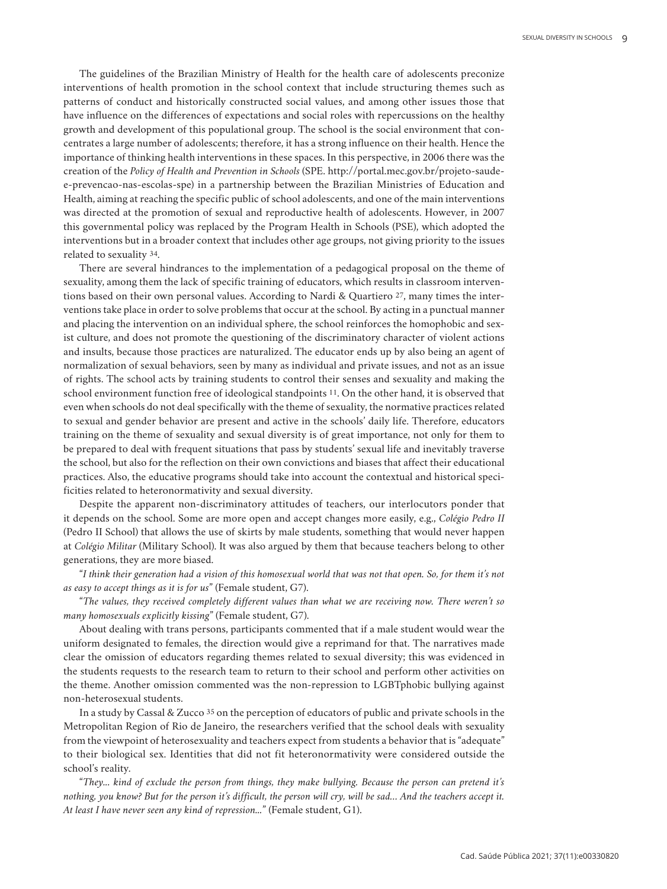The guidelines of the Brazilian Ministry of Health for the health care of adolescents preconize interventions of health promotion in the school context that include structuring themes such as patterns of conduct and historically constructed social values, and among other issues those that have influence on the differences of expectations and social roles with repercussions on the healthy growth and development of this populational group. The school is the social environment that concentrates a large number of adolescents; therefore, it has a strong influence on their health. Hence the importance of thinking health interventions in these spaces. In this perspective, in 2006 there was the creation of the *Policy of Health and Prevention in Schools* (SPE. http://portal.mec.gov.br/projeto-saudee-prevencao-nas-escolas-spe) in a partnership between the Brazilian Ministries of Education and Health, aiming at reaching the specific public of school adolescents, and one of the main interventions was directed at the promotion of sexual and reproductive health of adolescents. However, in 2007 this governmental policy was replaced by the Program Health in Schools (PSE), which adopted the interventions but in a broader context that includes other age groups, not giving priority to the issues related to sexuality 34.

There are several hindrances to the implementation of a pedagogical proposal on the theme of sexuality, among them the lack of specific training of educators, which results in classroom interventions based on their own personal values. According to Nardi & Quartiero 27, many times the interventions take place in order to solve problems that occur at the school. By acting in a punctual manner and placing the intervention on an individual sphere, the school reinforces the homophobic and sexist culture, and does not promote the questioning of the discriminatory character of violent actions and insults, because those practices are naturalized. The educator ends up by also being an agent of normalization of sexual behaviors, seen by many as individual and private issues, and not as an issue of rights. The school acts by training students to control their senses and sexuality and making the school environment function free of ideological standpoints 11. On the other hand, it is observed that even when schools do not deal specifically with the theme of sexuality, the normative practices related to sexual and gender behavior are present and active in the schools' daily life. Therefore, educators training on the theme of sexuality and sexual diversity is of great importance, not only for them to be prepared to deal with frequent situations that pass by students' sexual life and inevitably traverse the school, but also for the reflection on their own convictions and biases that affect their educational practices. Also, the educative programs should take into account the contextual and historical specificities related to heteronormativity and sexual diversity.

Despite the apparent non-discriminatory attitudes of teachers, our interlocutors ponder that it depends on the school. Some are more open and accept changes more easily, e.g., *Colégio Pedro II* (Pedro II School) that allows the use of skirts by male students, something that would never happen at *Colégio Militar* (Military School). It was also argued by them that because teachers belong to other generations, they are more biased.

"*I think their generation had a vision of this homosexual world that was not that open. So, for them it's not as easy to accept things as it is for us*" (Female student, G7).

"*The values, they received completely different values than what we are receiving now. There weren't so many homosexuals explicitly kissing*" (Female student, G7).

About dealing with trans persons, participants commented that if a male student would wear the uniform designated to females, the direction would give a reprimand for that. The narratives made clear the omission of educators regarding themes related to sexual diversity; this was evidenced in the students requests to the research team to return to their school and perform other activities on the theme. Another omission commented was the non-repression to LGBTphobic bullying against non-heterosexual students.

In a study by Cassal & Zucco 35 on the perception of educators of public and private schools in the Metropolitan Region of Rio de Janeiro, the researchers verified that the school deals with sexuality from the viewpoint of heterosexuality and teachers expect from students a behavior that is "adequate" to their biological sex. Identities that did not fit heteronormativity were considered outside the school's reality.

"*They... kind of exclude the person from things, they make bullying. Because the person can pretend it's nothing, you know? But for the person it's difficult, the person will cry, will be sad… And the teachers accept it. At least I have never seen any kind of repression...*" (Female student, G1).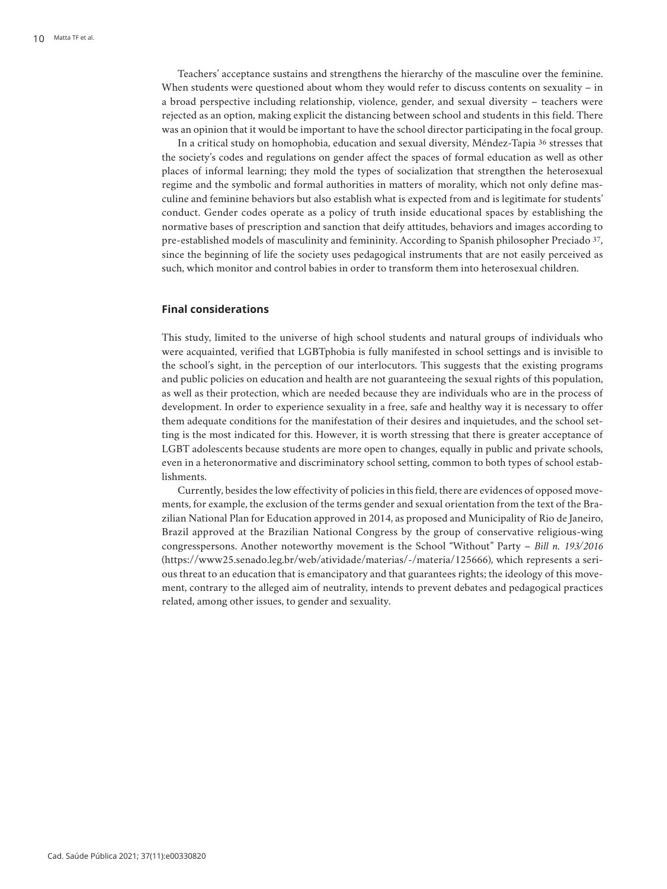Teachers' acceptance sustains and strengthens the hierarchy of the masculine over the feminine. When students were questioned about whom they would refer to discuss contents on sexuality – in a broad perspective including relationship, violence, gender, and sexual diversity – teachers were rejected as an option, making explicit the distancing between school and students in this field. There was an opinion that it would be important to have the school director participating in the focal group.

In a critical study on homophobia, education and sexual diversity, Méndez-Tapia 36 stresses that the society's codes and regulations on gender affect the spaces of formal education as well as other places of informal learning; they mold the types of socialization that strengthen the heterosexual regime and the symbolic and formal authorities in matters of morality, which not only define masculine and feminine behaviors but also establish what is expected from and is legitimate for students' conduct. Gender codes operate as a policy of truth inside educational spaces by establishing the normative bases of prescription and sanction that deify attitudes, behaviors and images according to pre-established models of masculinity and femininity. According to Spanish philosopher Preciado 37, since the beginning of life the society uses pedagogical instruments that are not easily perceived as such, which monitor and control babies in order to transform them into heterosexual children.

# **Final considerations**

This study, limited to the universe of high school students and natural groups of individuals who were acquainted, verified that LGBTphobia is fully manifested in school settings and is invisible to the school's sight, in the perception of our interlocutors. This suggests that the existing programs and public policies on education and health are not guaranteeing the sexual rights of this population, as well as their protection, which are needed because they are individuals who are in the process of development. In order to experience sexuality in a free, safe and healthy way it is necessary to offer them adequate conditions for the manifestation of their desires and inquietudes, and the school setting is the most indicated for this. However, it is worth stressing that there is greater acceptance of LGBT adolescents because students are more open to changes, equally in public and private schools, even in a heteronormative and discriminatory school setting, common to both types of school establishments.

Currently, besides the low effectivity of policies in this field, there are evidences of opposed movements, for example, the exclusion of the terms gender and sexual orientation from the text of the Brazilian National Plan for Education approved in 2014, as proposed and Municipality of Rio de Janeiro, Brazil approved at the Brazilian National Congress by the group of conservative religious-wing congresspersons. Another noteworthy movement is the School "Without" Party – *Bill n. 193/2016* (https://www25.senado.leg.br/web/atividade/materias/-/materia/125666), which represents a serious threat to an education that is emancipatory and that guarantees rights; the ideology of this movement, contrary to the alleged aim of neutrality, intends to prevent debates and pedagogical practices related, among other issues, to gender and sexuality.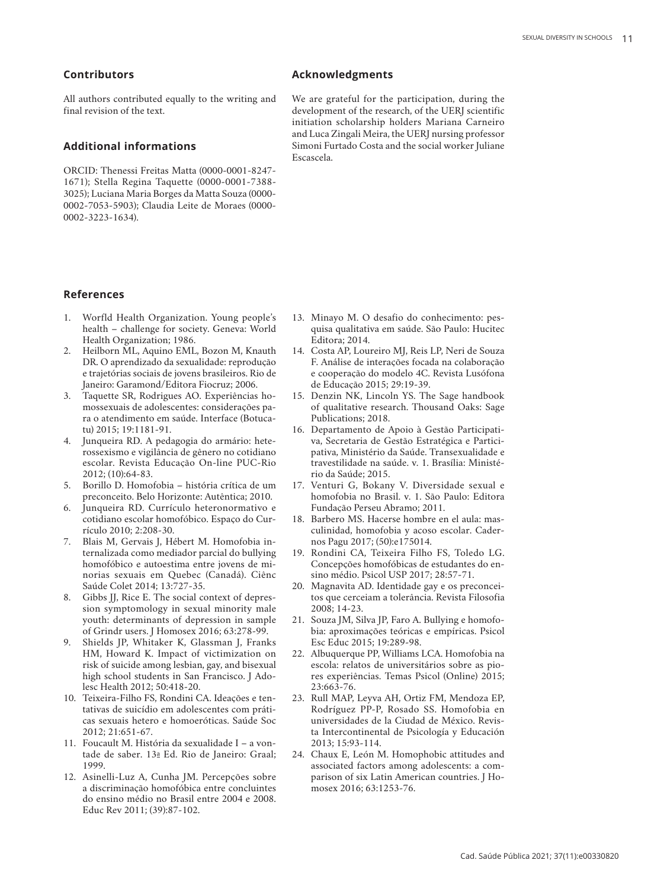# **Contributors**

All authors contributed equally to the writing and final revision of the text.

## **Additional informations**

ORCID: Thenessi Freitas Matta (0000-0001-8247- 1671); Stella Regina Taquette (0000-0001-7388- 3025); Luciana Maria Borges da Matta Souza (0000- 0002-7053-5903); Claudia Leite de Moraes (0000- 0002-3223-1634).

#### **References**

- 1. Worfld Health Organization. Young people's health – challenge for society. Geneva: World Health Organization; 1986.
- 2. Heilborn ML, Aquino EML, Bozon M, Knauth DR. O aprendizado da sexualidade: reprodução e trajetórias sociais de jovens brasileiros. Rio de Janeiro: Garamond/Editora Fiocruz; 2006.
- 3. Taquette SR, Rodrigues AO. Experiências homossexuais de adolescentes: considerações para o atendimento em saúde. Interface (Botucatu) 2015; 19:1181-91.
- 4. Junqueira RD. A pedagogia do armário: heterossexismo e vigilância de gênero no cotidiano escolar. Revista Educação On-line PUC-Rio 2012; (10):64-83.
- 5. Borillo D. Homofobia história crítica de um preconceito. Belo Horizonte: Autêntica; 2010.
- 6. Junqueira RD. Currículo heteronormativo e cotidiano escolar homofóbico. Espaço do Currículo 2010; 2:208-30.
- 7. Blais M, Gervais J, Hébert M. Homofobia internalizada como mediador parcial do bullying homofóbico e autoestima entre jovens de minorias sexuais em Quebec (Canadá). Ciênc Saúde Colet 2014; 13:727-35.
- 8. Gibbs JJ, Rice E. The social context of depression symptomology in sexual minority male youth: determinants of depression in sample of Grindr users. J Homosex 2016; 63:278-99.
- 9. Shields JP, Whitaker K, Glassman J, Franks HM, Howard K. Impact of victimization on risk of suicide among lesbian, gay, and bisexual high school students in San Francisco. J Adolesc Health 2012; 50:418-20.
- 10. Teixeira-Filho FS, Rondini CA. Ideações e tentativas de suicídio em adolescentes com práticas sexuais hetero e homoeróticas. Saúde Soc 2012; 21:651-67.
- 11. Foucault M. História da sexualidade I a vontade de saber. 13a Ed. Rio de Janeiro: Graal; 1999.
- 12. Asinelli-Luz A, Cunha JM. Percepções sobre a discriminação homofóbica entre concluintes do ensino médio no Brasil entre 2004 e 2008. Educ Rev 2011; (39):87-102.

# **Acknowledgments**

We are grateful for the participation, during the development of the research, of the UERJ scientific initiation scholarship holders Mariana Carneiro and Luca Zingali Meira, the UERJ nursing professor Simoni Furtado Costa and the social worker Juliane Escascela.

- 13. Minayo M. O desafio do conhecimento: pesquisa qualitativa em saúde. São Paulo: Hucitec Editora; 2014.
- 14. Costa AP, Loureiro MJ, Reis LP, Neri de Souza F. Análise de interações focada na colaboração e cooperação do modelo 4C. Revista Lusófona de Educação 2015; 29:19-39.
- 15. Denzin NK, Lincoln YS. The Sage handbook of qualitative research. Thousand Oaks: Sage Publications; 2018.
- 16. Departamento de Apoio à Gestão Participativa, Secretaria de Gestão Estratégica e Participativa, Ministério da Saúde. Transexualidade e travestilidade na saúde. v. 1. Brasília: Ministério da Saúde; 2015.
- 17. Venturi G, Bokany V. Diversidade sexual e homofobia no Brasil. v. 1. São Paulo: Editora Fundação Perseu Abramo; 2011.
- 18. Barbero MS. Hacerse hombre en el aula: masculinidad, homofobia y acoso escolar. Cadernos Pagu 2017; (50):e175014.
- 19. Rondini CA, Teixeira Filho FS, Toledo LG. Concepções homofóbicas de estudantes do ensino médio. Psicol USP 2017; 28:57-71.
- 20. Magnavita AD. Identidade gay e os preconceitos que cerceiam a tolerância. Revista Filosofia 2008; 14-23.
- 21. Souza JM, Silva JP, Faro A. Bullying e homofobia: aproximações teóricas e empíricas. Psicol Esc Educ 2015; 19:289-98.
- 22. Albuquerque PP, Williams LCA. Homofobia na escola: relatos de universitários sobre as piores experiências. Temas Psicol (Online) 2015; 23:663-76.
- 23. Rull MAP, Leyva AH, Ortiz FM, Mendoza EP, Rodríguez PP-P, Rosado SS. Homofobia en universidades de la Ciudad de México. Revista Intercontinental de Psicología y Educación 2013; 15:93-114.
- 24. Chaux E, León M. Homophobic attitudes and associated factors among adolescents: a comparison of six Latin American countries. J Homosex 2016; 63:1253-76.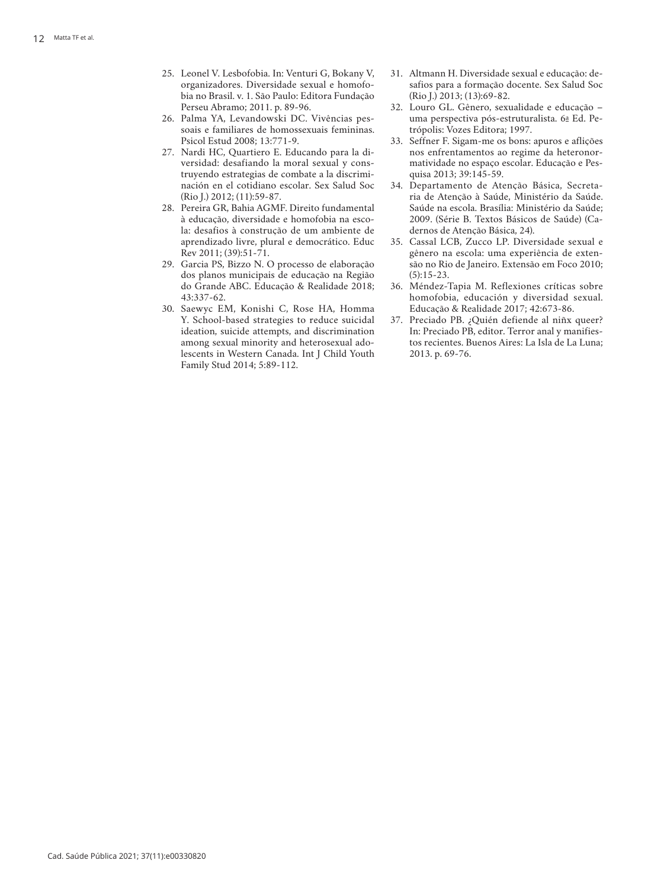- organizadores. Diversidade sexual e homofo bia no Brasil. v. 1. São Paulo: Editora Fundação Perseu Abramo; 2011. p. 89-96.
- 26. Palma YA, Levandowski DC. Vivências pes soais e familiares de homossexuais femininas. Psicol Estud 2008; 13:771-9.
- 27. Nardi HC, Quartiero E. Educando para la di versidad: desafiando la moral sexual y cons truyendo estrategias de combate a la discrimi nación en el cotidiano escolar. Sex Salud Soc (Rio J.) 2012; (11):59-87.
- 28. Pereira GR, Bahia AGMF. Direito fundamental à educação, diversidade e homofobia na esco la: desafios à construção de um ambiente de aprendizado livre, plural e democrático. Educ Rev 2011; (39):51-71.
- 29. Garcia PS, Bizzo N. O processo de elaboração dos planos municipais de educação na Região do Grande ABC. Educação & Realidade 2018; 43:337-62.
- 25. Israel V. Leonel V. Leonel V. Leonel V. Leonel V. Leonel V. Leonel V. Leonel V. Leonel V. Normanic 2021; 10: 82. Media. Interaction Publica 2021; 10: 2021; 10: 2021; 10: 2021; 10: 2021; 10: Venturi G, Bokany V, Ventur 30. Saewyc EM, Konishi C, Rose HA, Homma Y. School-based strategies to reduce suicidal ideation, suicide attempts, and discrimination among sexual minority and heterosexual ado lescents in Western Canada. Int J Child Youth Family Stud 2014; 5:89-112.
- 31. Altmann H. Diversidade sexual e educação: de safios para a formação docente. Sex Salud Soc (Rio J.) 2013; (13):69-82.
- 32. Louro GL. Gênero, sexualidade e educação uma perspectiva pós-estruturalista. 6 a Ed. Pe trópolis: Vozes Editora; 1997.
- 33. Seffner F. Sigam-me os bons: apuros e aflições nos enfrentamentos ao regime da heteronor matividade no espaço escolar. Educação e Pes quisa 2013; 39:145-59.
- 34. Departamento de Atenção Básica, Secreta ria de Atenção à Saúde, Ministério da Saúde. Saúde na escola. Brasília: Ministério da Saúde; 2009. (Série B. Textos Básicos de Saúde) (Ca dernos de Atenção Básica, 24).
- 35. Cassal LCB, Zucco LP. Diversidade sexual e gênero na escola: uma experiência de exten são no Rio de Janeiro. Extensão em Foco 2010;  $(5):15-23.$
- 36. Méndez-Tapia M. Reflexiones críticas sobre homofobia, educación y diversidad sexual. Educação & Realidade 2017; 42:673-86.
- 37. Preciado PB. ¿Quién defiende al niñx queer? In: Preciado PB, editor. Terror anal y manifies tos recientes. Buenos Aires: La Isla de La Luna; 2013. p. 69-76.